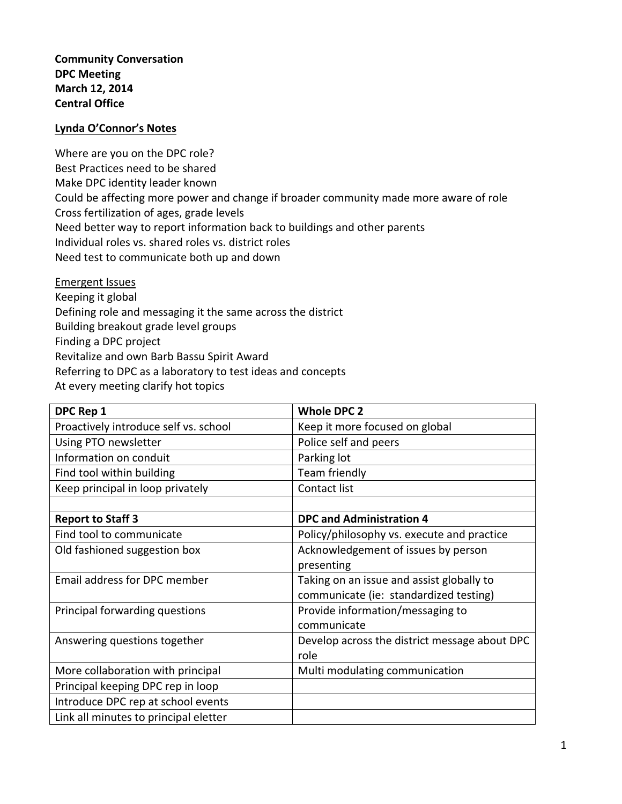**Community Conversation DPC Meeting March 12, 2014 Central Office**

## **Lynda O'Connor's Notes**

Where are you on the DPC role? Best Practices need to be shared Make DPC identity leader known Could be affecting more power and change if broader community made more aware of role Cross fertilization of ages, grade levels Need better way to report information back to buildings and other parents Individual roles vs. shared roles vs. district roles Need test to communicate both up and down

Emergent Issues Keeping it global Defining role and messaging it the same across the district Building breakout grade level groups Finding a DPC project Revitalize and own Barb Bassu Spirit Award Referring to DPC as a laboratory to test ideas and concepts At every meeting clarify hot topics

| DPC Rep 1                             | <b>Whole DPC 2</b>                            |
|---------------------------------------|-----------------------------------------------|
| Proactively introduce self vs. school | Keep it more focused on global                |
| Using PTO newsletter                  | Police self and peers                         |
| Information on conduit                | Parking lot                                   |
| Find tool within building             | Team friendly                                 |
| Keep principal in loop privately      | Contact list                                  |
|                                       |                                               |
| <b>Report to Staff 3</b>              | <b>DPC and Administration 4</b>               |
| Find tool to communicate              | Policy/philosophy vs. execute and practice    |
| Old fashioned suggestion box          | Acknowledgement of issues by person           |
|                                       | presenting                                    |
| Email address for DPC member          | Taking on an issue and assist globally to     |
|                                       | communicate (ie: standardized testing)        |
| Principal forwarding questions        | Provide information/messaging to              |
|                                       | communicate                                   |
| Answering questions together          | Develop across the district message about DPC |
|                                       | role                                          |
| More collaboration with principal     | Multi modulating communication                |
| Principal keeping DPC rep in loop     |                                               |
| Introduce DPC rep at school events    |                                               |
| Link all minutes to principal eletter |                                               |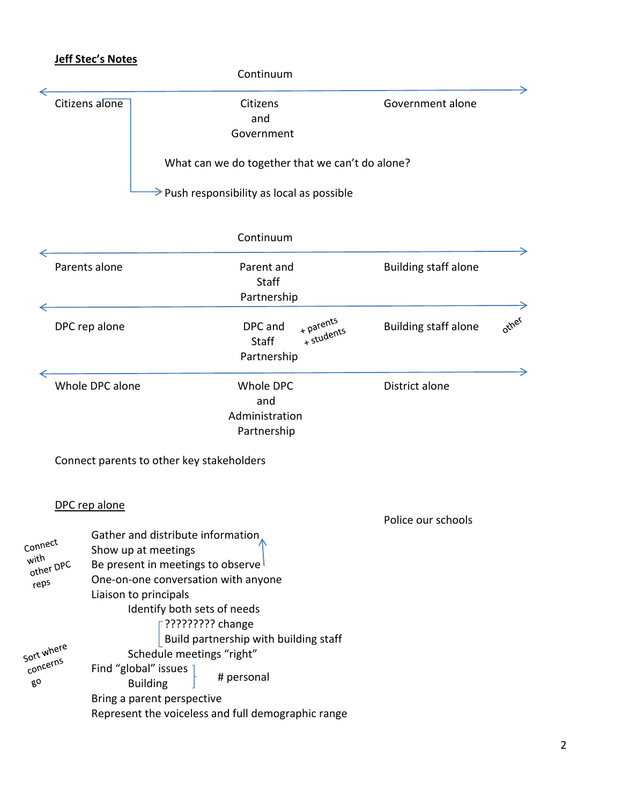## **Jeff Stec's Notes**

|                                      |                                              |                                                                                                                           | Continuum                                                                    |                         |                             |       |
|--------------------------------------|----------------------------------------------|---------------------------------------------------------------------------------------------------------------------------|------------------------------------------------------------------------------|-------------------------|-----------------------------|-------|
|                                      | Citizens alone                               |                                                                                                                           | Citizens<br>and<br>Government                                                |                         | Government alone            |       |
|                                      |                                              |                                                                                                                           | What can we do together that we can't do alone?                              |                         |                             |       |
|                                      |                                              |                                                                                                                           | $\rightarrow$ Push responsibility as local as possible                       |                         |                             |       |
|                                      |                                              |                                                                                                                           | Continuum                                                                    |                         |                             |       |
|                                      | Parents alone                                |                                                                                                                           | Parent and<br><b>Staff</b>                                                   |                         | <b>Building staff alone</b> |       |
|                                      | DPC rep alone                                |                                                                                                                           | Partnership<br>DPC and<br><b>Staff</b><br>Partnership                        | + parents<br>+ students | <b>Building staff alone</b> | other |
|                                      | Whole DPC alone                              |                                                                                                                           | Whole DPC<br>and<br>Administration<br>Partnership                            |                         | District alone              |       |
|                                      |                                              | Connect parents to other key stakeholders                                                                                 |                                                                              |                         |                             |       |
|                                      | DPC rep alone                                |                                                                                                                           |                                                                              |                         | Police our schools          |       |
| Connect<br>with<br>other DPC<br>reps | Show up at meetings<br>Liaison to principals | Gather and distribute information<br>Be present in meetings to observe<br>Identify both sets of needs<br>????????? change | One-on-one conversation with anyone<br>Build partnership with building staff |                         |                             |       |
| Sort where<br>concerns<br>$g_0$      | Find "global" issues                         | Schedule meetings "right"<br><b>Building</b><br>Bring a parent perspective                                                | # personal<br>Represent the voiceless and full demographic range             |                         |                             |       |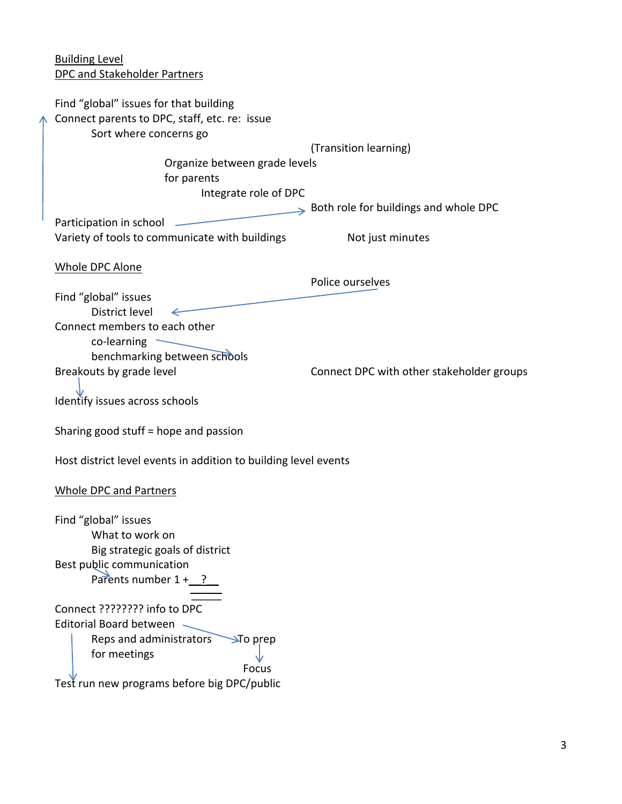Building Level DPC and Stakeholder Partners Find "global" issues for that building Connect parents to DPC, staff, etc. re: issue Sort where concerns go (Transition learning) Organize between grade levels for parents Integrate role of DPC Both role for buildings and whole DPC Participation in school  $\qquad$ Variety of tools to communicate with buildings Not just minutes Whole DPC Alone Police ourselves Find "global" issues District level ← Connect members to each other  $co$ -learning  $\sim$ benchmarking between schools Breakouts by grade level **Example 20** Connect DPC with other stakeholder groups Identify issues across schools Sharing good stuff = hope and passion Host district level events in addition to building level events Whole DPC and Partners Find "global" issues What to work on Big strategic goals of district Best public communication Parents number  $1 + ?$  $\sim$ Connect ???????? info to DPC Editorial Board between Reps and administrators  $\rightarrow$  To prep for meetings Focus Test run new programs before big DPC/public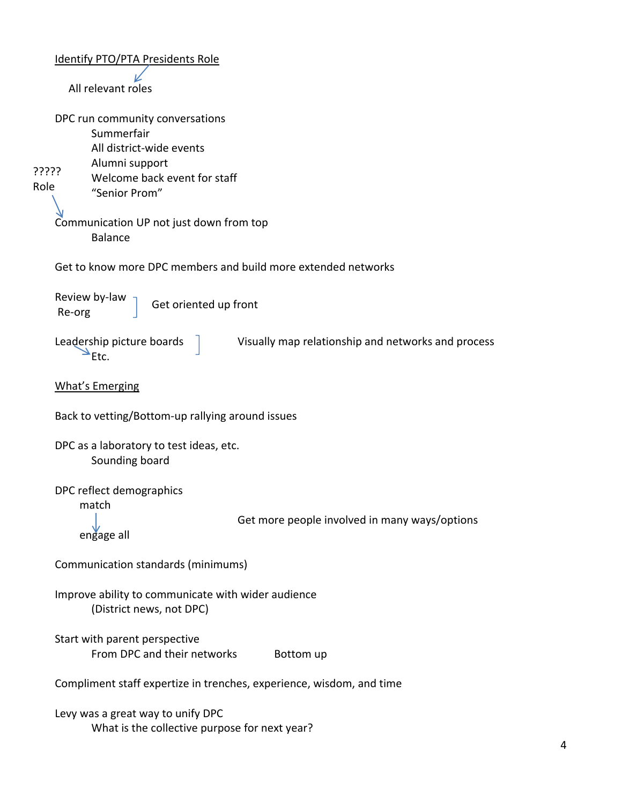| <b>Identify PTO/PTA Presidents Role</b>                                                                                                                       |
|---------------------------------------------------------------------------------------------------------------------------------------------------------------|
| All relevant roles                                                                                                                                            |
| DPC run community conversations<br>Summerfair<br>All district-wide events<br>Alumni support<br>?????<br>Welcome back event for staff<br>Role<br>"Senior Prom" |
| Communication UP not just down from top<br><b>Balance</b>                                                                                                     |
| Get to know more DPC members and build more extended networks                                                                                                 |
| Review by-law<br>Get oriented up front<br>Re-org                                                                                                              |
| Leadership picture boards<br>Visually map relationship and networks and process<br>Etc.                                                                       |
| <b>What's Emerging</b>                                                                                                                                        |
| Back to vetting/Bottom-up rallying around issues                                                                                                              |
| DPC as a laboratory to test ideas, etc.<br>Sounding board                                                                                                     |
| DPC reflect demographics<br>match<br>Get more people involved in many ways/options<br>engage all                                                              |
| Communication standards (minimums)                                                                                                                            |
| Improve ability to communicate with wider audience<br>(District news, not DPC)                                                                                |
| Start with parent perspective<br>From DPC and their networks<br>Bottom up                                                                                     |
| Compliment staff expertize in trenches, experience, wisdom, and time                                                                                          |
| Levy was a great way to unify DPC<br>What is the collective purpose for next year?                                                                            |